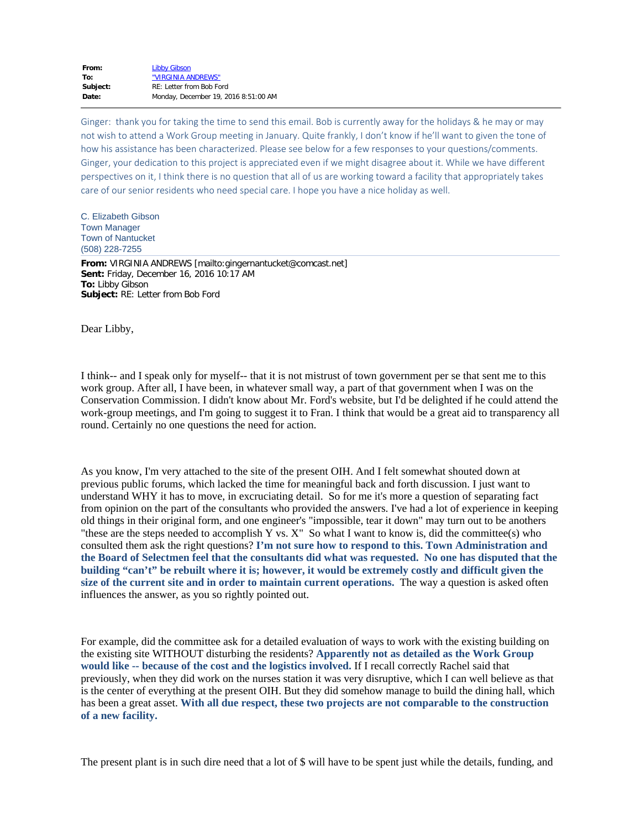| From:    | <b>Libby Gibson</b>                  |
|----------|--------------------------------------|
| To:      | "VIRGINIA ANDREWS"                   |
| Subject: | RE: Letter from Bob Ford             |
| Date:    | Monday, December 19, 2016 8:51:00 AM |
|          |                                      |

Ginger: thank you for taking the time to send this email. Bob is currently away for the holidays & he may or may not wish to attend a Work Group meeting in January. Quite frankly, I don't know if he'll want to given the tone of how his assistance has been characterized. Please see below for a few responses to your questions/comments. Ginger, your dedication to this project is appreciated even if we might disagree about it. While we have different perspectives on it, I think there is no question that all of us are working toward a facility that appropriately takes care of our senior residents who need special care. I hope you have a nice holiday as well.

C. Elizabeth Gibson Town Manager Town of Nantucket (508) 228-7255

**From:** VIRGINIA ANDREWS [mailto:gingernantucket@comcast.net] **Sent:** Friday, December 16, 2016 10:17 AM **To:** Libby Gibson **Subject:** RE: Letter from Bob Ford

Dear Libby,

I think-- and I speak only for myself-- that it is not mistrust of town government per se that sent me to this work group. After all, I have been, in whatever small way, a part of that government when I was on the Conservation Commission. I didn't know about Mr. Ford's website, but I'd be delighted if he could attend the work-group meetings, and I'm going to suggest it to Fran. I think that would be a great aid to transparency all round. Certainly no one questions the need for action.

As you know, I'm very attached to the site of the present OIH. And I felt somewhat shouted down at previous public forums, which lacked the time for meaningful back and forth discussion. I just want to understand WHY it has to move, in excruciating detail. So for me it's more a question of separating fact from opinion on the part of the consultants who provided the answers. I've had a lot of experience in keeping old things in their original form, and one engineer's "impossible, tear it down" may turn out to be anothers "these are the steps needed to accomplish Y vs. X" So what I want to know is, did the committee(s) who consulted them ask the right questions? **I'm not sure how to respond to this. Town Administration and the Board of Selectmen feel that the consultants did what was requested. No one has disputed that the building "can't" be rebuilt where it is; however, it would be extremely costly and difficult given the size of the current site and in order to maintain current operations.** The way a question is asked often influences the answer, as you so rightly pointed out.

For example, did the committee ask for a detailed evaluation of ways to work with the existing building on the existing site WITHOUT disturbing the residents? **Apparently not as detailed as the Work Group would like -- because of the cost and the logistics involved.** If I recall correctly Rachel said that previously, when they did work on the nurses station it was very disruptive, which I can well believe as that is the center of everything at the present OIH. But they did somehow manage to build the dining hall, which has been a great asset. **With all due respect, these two projects are not comparable to the construction of a new facility.**

The present plant is in such dire need that a lot of \$ will have to be spent just while the details, funding, and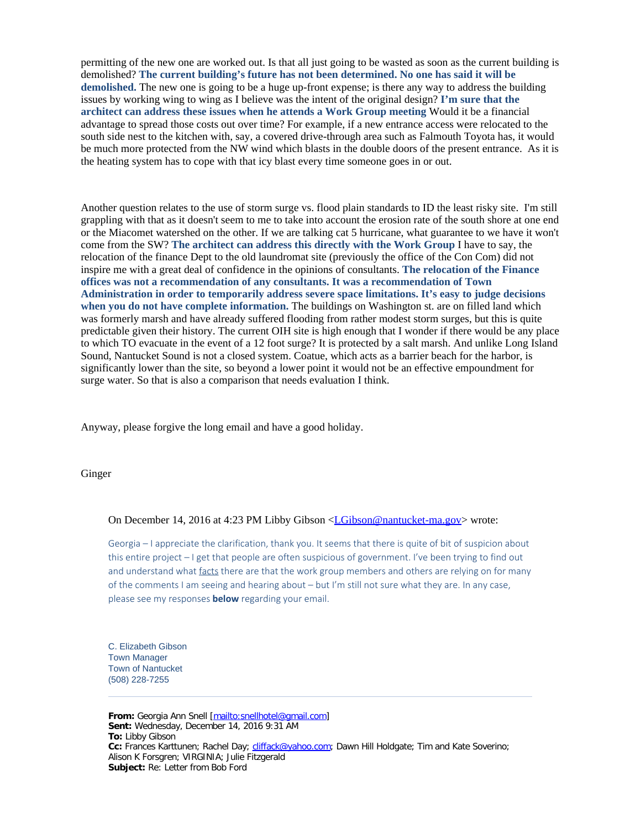permitting of the new one are worked out. Is that all just going to be wasted as soon as the current building is demolished? **The current building's future has not been determined. No one has said it will be demolished.** The new one is going to be a huge up-front expense; is there any way to address the building issues by working wing to wing as I believe was the intent of the original design? **I'm sure that the architect can address these issues when he attends a Work Group meeting** Would it be a financial advantage to spread those costs out over time? For example, if a new entrance access were relocated to the south side nest to the kitchen with, say, a covered drive-through area such as Falmouth Toyota has, it would be much more protected from the NW wind which blasts in the double doors of the present entrance. As it is the heating system has to cope with that icy blast every time someone goes in or out.

Another question relates to the use of storm surge vs. flood plain standards to ID the least risky site. I'm still grappling with that as it doesn't seem to me to take into account the erosion rate of the south shore at one end or the Miacomet watershed on the other. If we are talking cat 5 hurricane, what guarantee to we have it won't come from the SW? **The architect can address this directly with the Work Group** I have to say, the relocation of the finance Dept to the old laundromat site (previously the office of the Con Com) did not inspire me with a great deal of confidence in the opinions of consultants. **The relocation of the Finance offices was not a recommendation of any consultants. It was a recommendation of Town Administration in order to temporarily address severe space limitations. It's easy to judge decisions when you do not have complete information.** The buildings on Washington st. are on filled land which was formerly marsh and have already suffered flooding from rather modest storm surges, but this is quite predictable given their history. The current OIH site is high enough that I wonder if there would be any place to which TO evacuate in the event of a 12 foot surge? It is protected by a salt marsh. And unlike Long Island Sound, Nantucket Sound is not a closed system. Coatue, which acts as a barrier beach for the harbor, is significantly lower than the site, so beyond a lower point it would not be an effective empoundment for surge water. So that is also a comparison that needs evaluation I think.

Anyway, please forgive the long email and have a good holiday.

Ginger

## On December 14, 2016 at 4:23 PM Libby Gibson [<LGibson@nantucket-ma.gov](mailto:LGibson@nantucket-ma.gov)> wrote:

Georgia – I appreciate the clarification, thank you. It seems that there is quite of bit of suspicion about this entire project – I get that people are often suspicious of government. I've been trying to find out and understand what facts there are that the work group members and others are relying on for many of the comments I am seeing and hearing about – but I'm still not sure what they are. In any case, please see my responses **below** regarding your email.

C. Elizabeth Gibson Town Manager Town of Nantucket (508) 228-7255

**From:** Georgia Ann Snell [<mailto:snellhotel@gmail.com>] **Sent:** Wednesday, December 14, 2016 9:31 AM **To:** Libby Gibson **Cc:** Frances Karttunen; Rachel Day; [cliffack@yahoo.com](mailto:cliffack@yahoo.com); Dawn Hill Holdgate; Tim and Kate Soverino; Alison K Forsgren; VIRGINIA; Julie Fitzgerald **Subject:** Re: Letter from Bob Ford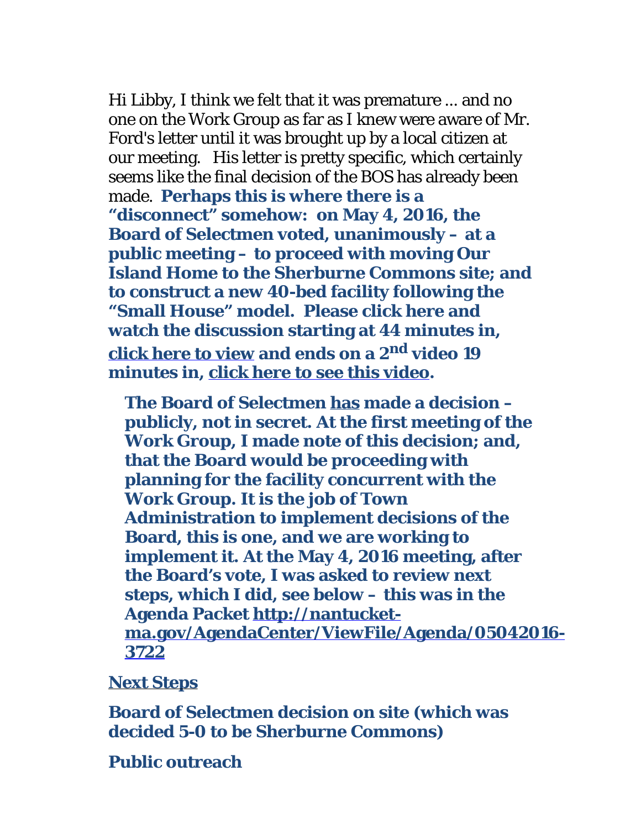Hi Libby, I think we felt that it was premature ... and no one on the Work Group as far as I knew were aware of Mr. Ford's letter until it was brought up by a local citizen at our meeting. His letter is pretty specific, which certainly seems like the final decision of the BOS has already been made. **Perhaps this is where there is a "disconnect" somehow: on May 4, 2016, the Board of Selectmen voted, unanimously – at a public meeting – to proceed with moving Our Island Home to the Sherburne Commons site; and to construct a new 40-bed facility following the "Small House" model. Please click here and watch the discussion starting at 44 minutes in, [click here to view](http://view.earthchannel.com/PlayerController.aspx?&PGD=nantucketma&eID=565) and ends on a 2nd video 19 minutes in, [click here to see this video](http://view.earthchannel.com/PlayerController.aspx?&PGD=nantucketma&eID=566).**

**The Board of Selectmen has made a decision – publicly, not in secret. At the first meeting of the Work Group, I made note of this decision; and, that the Board would be proceeding with planning for the facility concurrent with the Work Group. It is the job of Town Administration to implement decisions of the Board, this is one, and we are working to implement it. At the May 4, 2016 meeting, after the Board's vote, I was asked to review next steps, which I did, see below – this was in the Agenda Packet [http://nantucket](http://nantucket-ma.gov/AgendaCenter/ViewFile/Agenda/05042016-3722)[ma.gov/AgendaCenter/ViewFile/Agenda/05042016-](http://nantucket-ma.gov/AgendaCenter/ViewFile/Agenda/05042016-3722) [3722](http://nantucket-ma.gov/AgendaCenter/ViewFile/Agenda/05042016-3722)**

## **Next Steps**

**Board of Selectmen decision on site (which was decided 5-0 to be Sherburne Commons)**

## **Public outreach**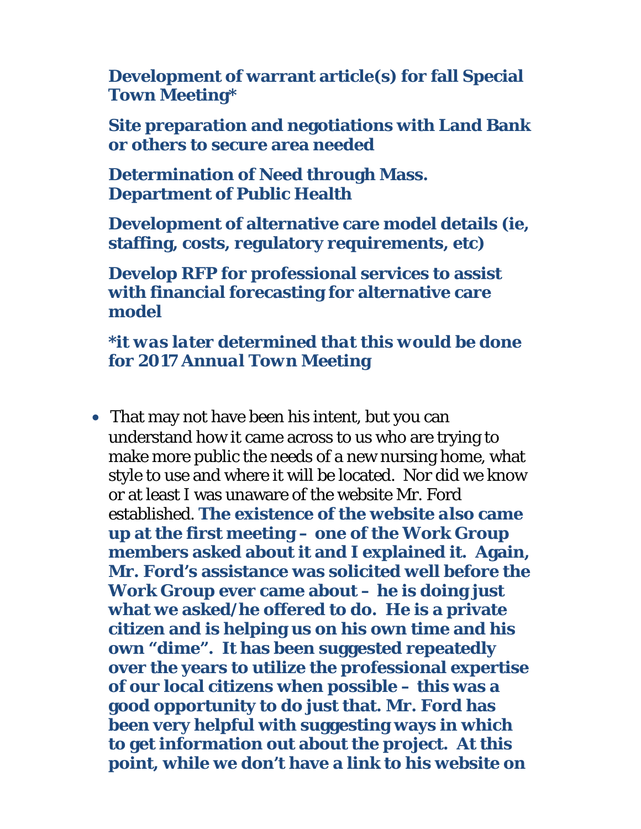**Development of warrant article(s) for fall Special Town Meeting\***

**Site preparation and negotiations with Land Bank or others to secure area needed**

**Determination of Need through Mass. Department of Public Health**

**Development of alternative care model details (ie, staffing, costs, regulatory requirements, etc)**

**Develop RFP for professional services to assist with financial forecasting for alternative care model**

*\*it was later determined that this would be done for 2017 Annual Town Meeting*

• That may not have been his intent, but you can understand how it came across to us who are trying to make more public the needs of a new nursing home, what style to use and where it will be located. Nor did we know or at least I was unaware of the website Mr. Ford established. **The existence of the website** *also* **came up at the first meeting – one of the Work Group members asked about it and I explained it. Again, Mr. Ford's assistance was solicited well before the Work Group ever came about – he is doing just what we asked/he offered to do. He is a private citizen and is helping us on his own time and his own "dime". It has been suggested repeatedly over the years to utilize the professional expertise of our local citizens when possible – this was a good opportunity to do just that. Mr. Ford has been very helpful with suggesting ways in which to get information out about the project. At this point, while we don't have a link to his website on**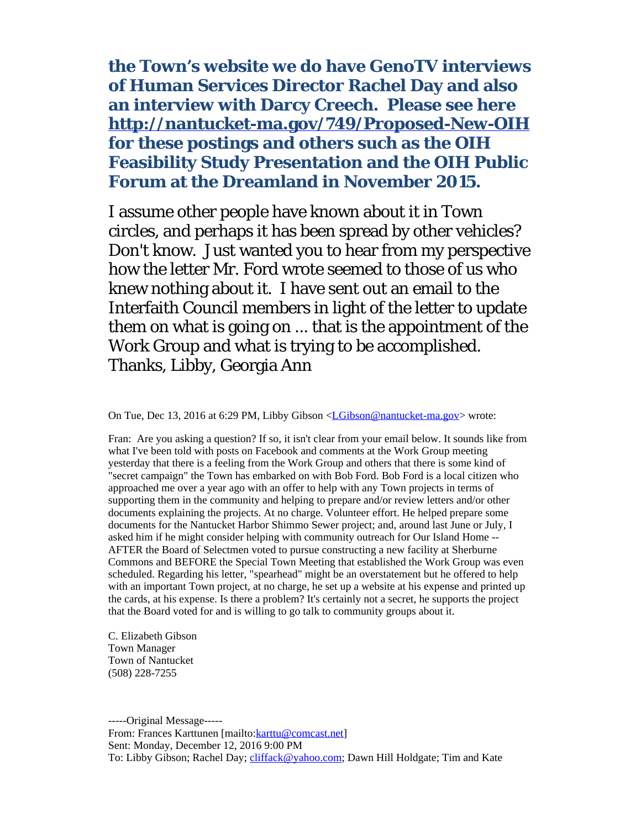**the Town's website we do have GenoTV interviews of Human Services Director Rachel Day and also an interview with Darcy Creech. Please see here <http://nantucket-ma.gov/749/Proposed-New-OIH> for these postings and others such as the OIH Feasibility Study Presentation and the OIH Public Forum at the Dreamland in November 2015.**

I assume other people have known about it in Town circles, and perhaps it has been spread by other vehicles? Don't know. Just wanted you to hear from my perspective how the letter Mr. Ford wrote seemed to those of us who knew nothing about it. I have sent out an email to the Interfaith Council members in light of the letter to update them on what is going on ... that is the appointment of the Work Group and what is trying to be accomplished. Thanks, Libby, Georgia Ann

On Tue, Dec 13, 2016 at 6:29 PM, Libby Gibson [<LGibson@nantucket-ma.gov](mailto:LGibson@nantucket-ma.gov)> wrote:

Fran: Are you asking a question? If so, it isn't clear from your email below. It sounds like from what I've been told with posts on Facebook and comments at the Work Group meeting yesterday that there is a feeling from the Work Group and others that there is some kind of "secret campaign" the Town has embarked on with Bob Ford. Bob Ford is a local citizen who approached me over a year ago with an offer to help with any Town projects in terms of supporting them in the community and helping to prepare and/or review letters and/or other documents explaining the projects. At no charge. Volunteer effort. He helped prepare some documents for the Nantucket Harbor Shimmo Sewer project; and, around last June or July, I asked him if he might consider helping with community outreach for Our Island Home -- AFTER the Board of Selectmen voted to pursue constructing a new facility at Sherburne Commons and BEFORE the Special Town Meeting that established the Work Group was even scheduled. Regarding his letter, "spearhead" might be an overstatement but he offered to help with an important Town project, at no charge, he set up a website at his expense and printed up the cards, at his expense. Is there a problem? It's certainly not a secret, he supports the project that the Board voted for and is willing to go talk to community groups about it.

C. Elizabeth Gibson Town Manager Town of Nantucket (508) 228-7255

-----Original Message----- From: Frances Karttunen [mailto: karttu@comcast.net] Sent: Monday, December 12, 2016 9:00 PM To: Libby Gibson; Rachel Day; [cliffack@yahoo.com](mailto:cliffack@yahoo.com); Dawn Hill Holdgate; Tim and Kate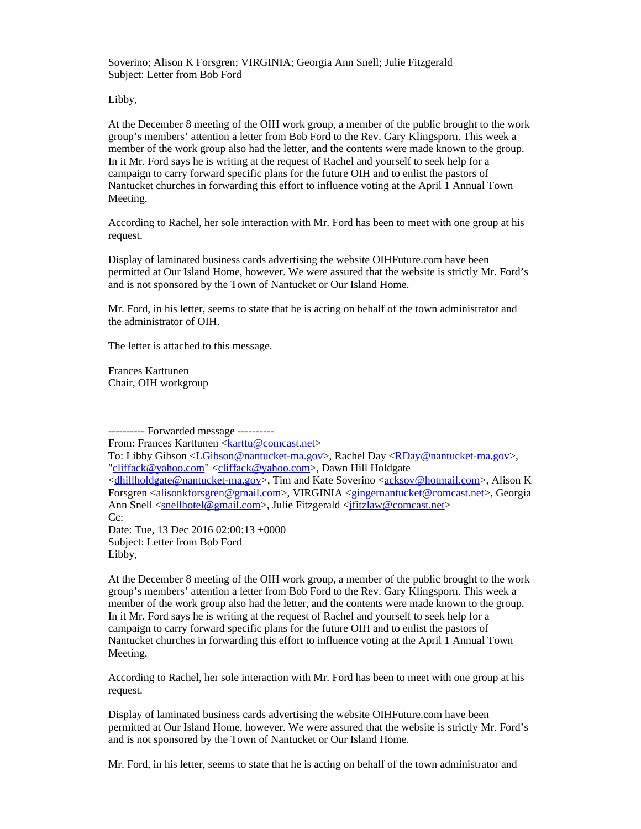Soverino; Alison K Forsgren; VIRGINIA; Georgia Ann Snell; Julie Fitzgerald Subject: Letter from Bob Ford

Libby,

At the December 8 meeting of the OIH work group, a member of the public brought to the work group's members' attention a letter from Bob Ford to the Rev. Gary Klingsporn. This week a member of the work group also had the letter, and the contents were made known to the group. In it Mr. Ford says he is writing at the request of Rachel and yourself to seek help for a campaign to carry forward specific plans for the future OIH and to enlist the pastors of Nantucket churches in forwarding this effort to influence voting at the April 1 Annual Town Meeting.

According to Rachel, her sole interaction with Mr. Ford has been to meet with one group at his request.

Display of laminated business cards advertising the website OIHFuture.com have been permitted at Our Island Home, however. We were assured that the website is strictly Mr. Ford's and is not sponsored by the Town of Nantucket or Our Island Home.

Mr. Ford, in his letter, seems to state that he is acting on behalf of the town administrator and the administrator of OIH.

The letter is attached to this message.

Frances Karttunen Chair, OIH workgroup

---------- Forwarded message ---------- From: Frances Karttunen <**karttu@comcast.net**> To: Libby Gibson <[LGibson@nantucket-ma.gov](mailto:LGibson@nantucket-ma.gov)>, Rachel Day [<RDay@nantucket-ma.gov](mailto:RDay@nantucket-ma.gov)>, ["cliffack@yahoo.com](mailto:cliffack@yahoo.com)" [<cliffack@yahoo.com](mailto:cliffack@yahoo.com)>, Dawn Hill Holdgate [<dhillholdgate@nantucket-ma.gov](mailto:dhillholdgate@nantucket-ma.gov)>, Tim and Kate Soverino [<acksov@hotmail.com](mailto:acksov@hotmail.com)>, Alison K Forsgren [<alisonkforsgren@gmail.com](mailto:alisonkforsgren@gmail.com)>, VIRGINIA <[gingernantucket@comcast.net](mailto:gingernantucket@comcast.net)>, Georgia Ann Snell [<snellhotel@gmail.com](mailto:snellhotel@gmail.com)>, Julie Fitzgerald <ifitzlaw@comcast.net> C<sub>c</sub>: Date: Tue, 13 Dec 2016 02:00:13 +0000 Subject: Letter from Bob Ford

Libby,

At the December 8 meeting of the OIH work group, a member of the public brought to the work group's members' attention a letter from Bob Ford to the Rev. Gary Klingsporn. This week a member of the work group also had the letter, and the contents were made known to the group. In it Mr. Ford says he is writing at the request of Rachel and yourself to seek help for a campaign to carry forward specific plans for the future OIH and to enlist the pastors of Nantucket churches in forwarding this effort to influence voting at the April 1 Annual Town Meeting.

According to Rachel, her sole interaction with Mr. Ford has been to meet with one group at his request.

Display of laminated business cards advertising the website OIHFuture.com have been permitted at Our Island Home, however. We were assured that the website is strictly Mr. Ford's and is not sponsored by the Town of Nantucket or Our Island Home.

Mr. Ford, in his letter, seems to state that he is acting on behalf of the town administrator and